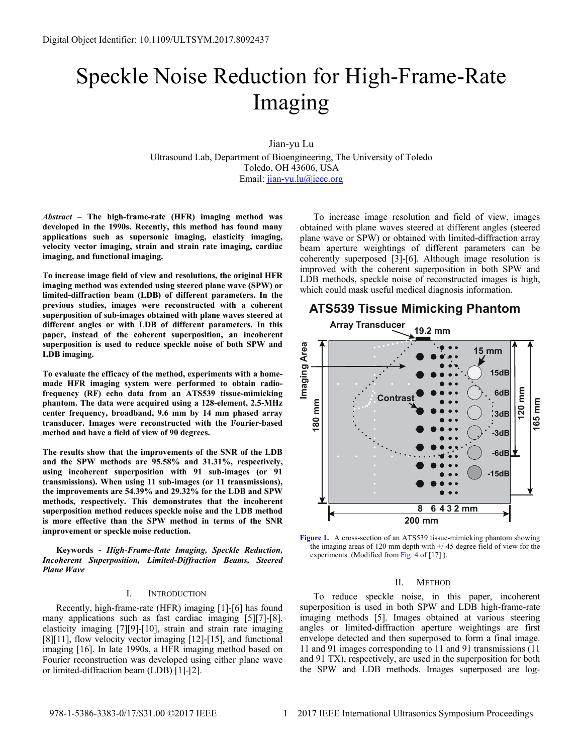# Speckle Noise Reduction for High-Frame-Rate Imaging

Jian-yu Lu

Ultrasound Lab, Department of Bioengineering, The University of Toledo Toledo, OH 43606, USA Email: [jian-yu.lu@ieee.org](mailto:jian-yu.lu@ieee.org)

*Abstract* **– The high-frame-rate (HFR) imaging method was developed in the 1990s. Recently, this method has found many applications such as supersonic imaging, elasticity imaging, velocity vector imaging, strain and strain rate imaging, cardiac imaging, and functional imaging.** 

**To increase image field of view and resolutions, the original HFR imaging method was extended using steered plane wave (SPW) or limited-diffraction beam (LDB) of different parameters. In the previous studies, images were reconstructed with a coherent superposition of sub-images obtained with plane waves steered at different angles or with LDB of different parameters. In this paper, instead of the coherent superposition, an incoherent superposition is used to reduce speckle noise of both SPW and LDB imaging.** 

**To evaluate the efficacy of the method, experiments with a homemade HFR imaging system were performed to obtain radiofrequency (RF) echo data from an ATS539 tissue-mimicking phantom. The data were acquired using a 128-element, 2.5-MHz center frequency, broadband, 9.6 mm by 14 mm phased array transducer. Images were reconstructed with the Fourier-based method and have a field of view of 90 degrees.** 

**The results show that the improvements of the SNR of the LDB and the SPW methods are 95.58% and 31.31%, respectively, using incoherent superposition with 91 sub-images (or 91 transmissions). When using 11 sub-images (or 11 transmissions), the improvements are 54.39% and 29.32% for the LDB and SPW methods, respectively. This demonstrates that the incoherent superposition method reduces speckle noise and the LDB method is more effective than the SPW method in terms of the SNR improvement or speckle noise reduction.** 

**Keywords -** *High-Frame-Rate Imaging, Speckle Reduction, Incoherent Superposition, Limited-Diffraction Beams, Steered Plane Wave* 

### I. INTRODUCTION

Recently, high-frame-rate (HFR) imaging [1]-[6] has found many applications such as fast cardiac imaging [5][7]-[8], elasticity imaging [7][9]-[10], strain and strain rate imaging [8][11], flow velocity vector imaging [12]-[15], and functional imaging [16]. In late 1990s, a HFR imaging method based on Fourier reconstruction was developed using either plane wave or limited-diffraction beam (LDB) [1]-[2].

To increase image resolution and field of view, images obtained with plane waves steered at different angles (steered plane wave or SPW) or obtained with limited-diffraction array beam aperture weightings of different parameters can be coherently superposed [3]-[6]. Although image resolution is improved with the coherent superposition in both SPW and LDB methods, speckle noise of reconstructed images is high, which could mask useful medical diagnosis information.

## **ATS539 Tissue Mimicking Phantom**



**Figure 1.** A cross-section of an ATS539 tissue-mimicking phantom showing the imaging areas of 120 mm depth with +/-45 degree field of view for the experiments. (Modified from Fig. 4 of [17].).

#### II. METHOD

To reduce speckle noise, in this paper, incoherent superposition is used in both SPW and LDB high-frame-rate imaging methods [5]. Images obtained at various steering angles or limited-diffraction aperture weightings are first envelope detected and then superposed to form a final image. 11 and 91 images corresponding to 11 and 91 transmissions (11 and 91 TX), respectively, are used in the superposition for both the SPW and LDB methods. Images superposed are log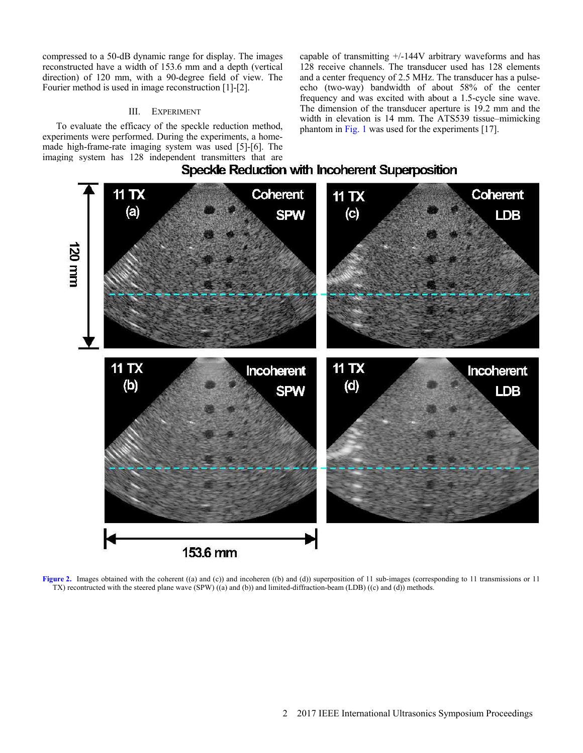compressed to a 50-dB dynamic range for display. The images reconstructed have a width of 153.6 mm and a depth (vertical direction) of 120 mm, with a 90-degree field of view. The Fourier method is used in image reconstruction [1]-[2].

### III. EXPERIMENT

To evaluate the efficacy of the speckle reduction method, experiments were performed. During the experiments, a homemade high-frame-rate imaging system was used [5]-[6]. The imaging system has 128 independent transmitters that are capable of transmitting +/-144V arbitrary waveforms and has 128 receive channels. The transducer used has 128 elements and a center frequency of 2.5 MHz. The transducer has a pulseecho (two-way) bandwidth of about 58% of the center frequency and was excited with about a 1.5-cycle sine wave. The dimension of the transducer aperture is 19.2 mm and the width in elevation is 14 mm. The ATS539 tissue–mimicking phantom in Fig. 1 was used for the experiments [17].



Speckle Reduction with Incoherent Superposition

**Figure 2.** Images obtained with the coherent ((a) and (c)) and incoheren ((b) and (d)) superposition of 11 sub-images (corresponding to 11 transmissions or 11 TX) recontructed with the steered plane wave (SPW) ((a) and (b)) and limited-diffraction-beam (LDB) ((c) and (d)) methods.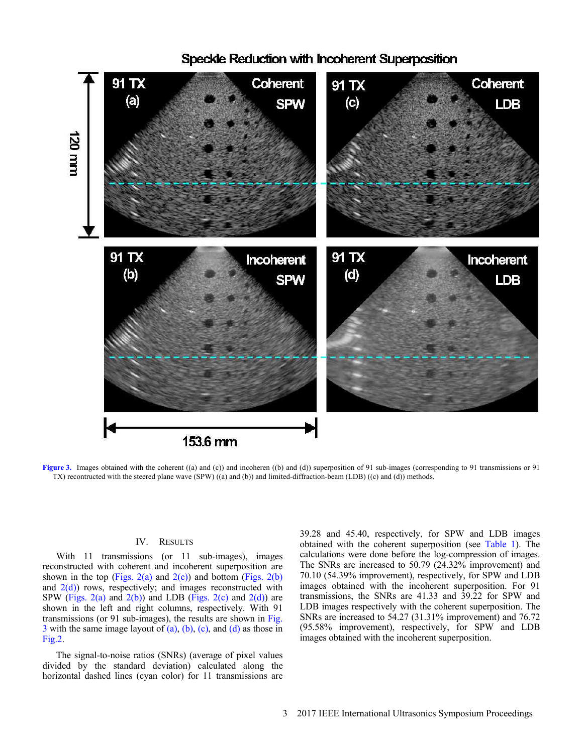

# Speckle Reduction with Incoherent Superposition

**Figure 3.** Images obtained with the coherent ((a) and (c)) and incoheren ((b) and (d)) superposition of 91 sub-images (corresponding to 91 transmissions or 91 TX) recontructed with the steered plane wave (SPW) ((a) and (b)) and limited-diffraction-beam (LDB) ((c) and (d)) methods.

## IV. RESULTS

With 11 transmissions (or 11 sub-images), images reconstructed with coherent and incoherent superposition are shown in the top (Figs.  $2(a)$  and  $2(c)$ ) and bottom (Figs.  $2(b)$ ) and  $2(d)$ ) rows, respectively; and images reconstructed with SPW (Figs. 2(a) and  $2(b)$ ) and LDB (Figs. 2(c) and  $2(d)$ ) are shown in the left and right columns, respectively. With 91 transmissions (or 91 sub-images), the results are shown in Fig.  $3$  with the same image layout of (a), (b), (c), and (d) as those in Fig.2.

The signal-to-noise ratios (SNRs) (average of pixel values divided by the standard deviation) calculated along the horizontal dashed lines (cyan color) for 11 transmissions are 39.28 and 45.40, respectively, for SPW and LDB images obtained with the coherent superposition (see Table 1). The calculations were done before the log-compression of images. The SNRs are increased to 50.79 (24.32% improvement) and 70.10 (54.39% improvement), respectively, for SPW and LDB images obtained with the incoherent superposition. For 91 transmissions, the SNRs are 41.33 and 39.22 for SPW and LDB images respectively with the coherent superposition. The SNRs are increased to 54.27 (31.31% improvement) and 76.72 (95.58% improvement), respectively, for SPW and LDB images obtained with the incoherent superposition.